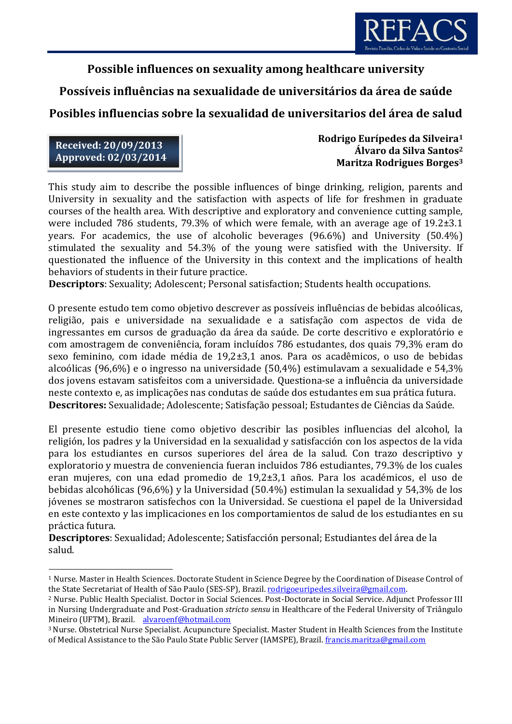

# **Possible influences on sexuality among healthcare university**

# **Possíveis influências na sexualidade de universitários da área de saúde**

# **Posibles influencias sobre la sexualidad de universitarios del área de salud**

**Received: 20/09/2013 Approved: 02/03/2014**

**.** 

**Rodrigo Eurípedes da Silveira<sup>1</sup> Álvaro da Silva Santos<sup>2</sup> Maritza Rodrigues Borges<sup>3</sup>**

This study aim to describe the possible influences of binge drinking, religion, parents and University in sexuality and the satisfaction with aspects of life for freshmen in graduate courses of the health area. With descriptive and exploratory and convenience cutting sample, were included 786 students, 79.3% of which were female, with an average age of 19.2±3.1 years. For academics, the use of alcoholic beverages (96.6%) and University (50.4%) stimulated the sexuality and 54.3% of the young were satisfied with the University. If questionated the influence of the University in this context and the implications of health behaviors of students in their future practice.

**Descriptors**: Sexuality; Adolescent; Personal satisfaction; Students health occupations.

O presente estudo tem como objetivo descrever as possíveis influências de bebidas alcoólicas, religião, pais e universidade na sexualidade e a satisfação com aspectos de vida de ingressantes em cursos de graduação da área da saúde. De corte descritivo e exploratório e com amostragem de conveniência, foram incluídos 786 estudantes, dos quais 79,3% eram do sexo feminino, com idade média de 19,2±3,1 anos. Para os acadêmicos, o uso de bebidas alcoólicas (96,6%) e o ingresso na universidade (50,4%) estimulavam a sexualidade e 54,3% dos jovens estavam satisfeitos com a universidade. Questiona-se a influência da universidade neste contexto e, as implicações nas condutas de saúde dos estudantes em sua prática futura. **Descritores:** Sexualidade; Adolescente; Satisfação pessoal; Estudantes de Ciências da Saúde.

El presente estudio tiene como objetivo describir las posibles influencias del alcohol, la religión, los padres y la Universidad en la sexualidad y satisfacción con los aspectos de la vida para los estudiantes en cursos superiores del área de la salud. Con trazo descriptivo y exploratorio y muestra de conveniencia fueran incluidos 786 estudiantes, 79.3% de los cuales eran mujeres, con una edad promedio de 19,2±3,1 años. Para los académicos, el uso de bebidas alcohólicas (96,6%) y la Universidad (50.4%) estimulan la sexualidad y 54,3% de los jóvenes se mostraron satisfechos con la Universidad. Se cuestiona el papel de la Universidad en este contexto y las implicaciones en los comportamientos de salud de los estudiantes en su práctica futura.

**Descriptores**: Sexualidad; Adolescente; Satisfacción personal; Estudiantes del área de la salud.

<sup>1</sup> Nurse. Master in Health Sciences. Doctorate Student in Science Degree by the Coordination of Disease Control of the State Secretariat of Health of São Paulo (SES-SP), Brazil[. rodrigoeuripedes.silveira@gmail.com.](mailto:rodrigoeuripedes.silveira@gmail.com)

<sup>2</sup> Nurse. Public Health Specialist. Doctor in Social Sciences. Post-Doctorate in Social Service. Adjunct Professor III in Nursing Undergraduate and Post-Graduation *stricto sensu* in Healthcare of the Federal University of Triângulo Mineiro (UFTM), Brazil. alvaroenf@hotmail.com

<sup>3</sup>Nurse. Obstetrical Nurse Specialist. Acupuncture Specialist. Master Student in Health Sciences from the Institute of Medical Assistance to the São Paulo State Public Server (IAMSPE), Brazil[. francis.maritza@gmail.com](mailto:francis.maritza@gmail.com)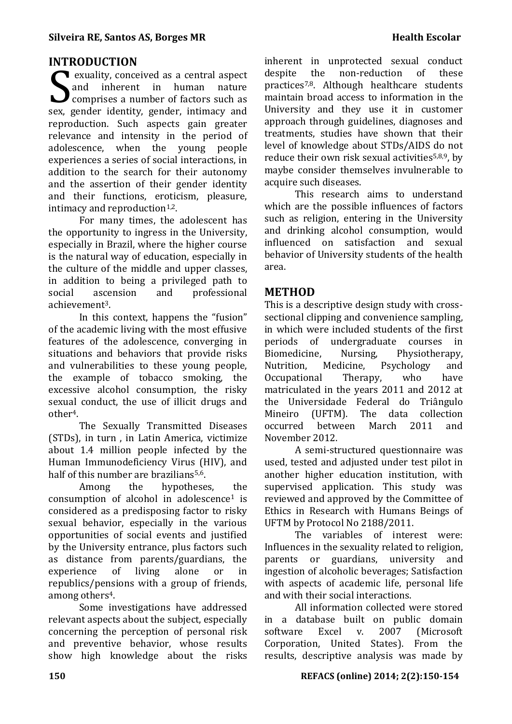### **INTRODUCTION**

exuality, conceived as a central aspect and inherent in human nature exuality, conceived as a central aspect<br>and inherent in human nature<br>comprises a number of factors such as sex, gender identity, gender, intimacy and reproduction. Such aspects gain greater relevance and intensity in the period of adolescence, when the young people experiences a series of social interactions, in addition to the search for their autonomy and the assertion of their gender identity and their functions, eroticism, pleasure, intimacy and reproduction $1,2$ .

For many times, the adolescent has the opportunity to ingress in the University, especially in Brazil, where the higher course is the natural way of education, especially in the culture of the middle and upper classes, in addition to being a privileged path to social ascension and professional achievement3.

In this context, happens the "fusion" of the academic living with the most effusive features of the adolescence, converging in situations and behaviors that provide risks and vulnerabilities to these young people, the example of tobacco smoking, the excessive alcohol consumption, the risky sexual conduct, the use of illicit drugs and other4.

The Sexually Transmitted Diseases (STDs), in turn , in Latin America, victimize about 1.4 million people infected by the Human Immunodeficiency Virus (HIV), and half of this number are brazilians<sup>5,6</sup>.

Among the hypotheses, the consumption of alcohol in adolescence<sup>1</sup> is considered as a predisposing factor to risky sexual behavior, especially in the various opportunities of social events and justified by the University entrance, plus factors such as distance from parents/guardians, the experience of living alone or in republics/pensions with a group of friends, among others<sup>4</sup>.

Some investigations have addressed relevant aspects about the subject, especially concerning the perception of personal risk and preventive behavior, whose results show high knowledge about the risks inherent in unprotected sexual conduct despite the non-reduction of these practices7,8. Although healthcare students maintain broad access to information in the University and they use it in customer approach through guidelines, diagnoses and treatments, studies have shown that their level of knowledge about STDs/AIDS do not reduce their own risk sexual activities<sup>5,8,9</sup>, by maybe consider themselves invulnerable to acquire such diseases.

This research aims to understand which are the possible influences of factors such as religion, entering in the University and drinking alcohol consumption, would influenced on satisfaction and sexual behavior of University students of the health area.

### **METHOD**

This is a descriptive design study with crosssectional clipping and convenience sampling, in which were included students of the first periods of undergraduate courses in Biomedicine, Nursing, Physiotherapy, Nutrition, Medicine, Psychology and Occupational Therapy, who have matriculated in the years 2011 and 2012 at the Universidade Federal do Triângulo Mineiro (UFTM). The data collection occurred between March 2011 and November 2012.

A semi-structured questionnaire was used, tested and adjusted under test pilot in another higher education institution, with supervised application. This study was reviewed and approved by the Committee of Ethics in Research with Humans Beings of UFTM by Protocol No 2188/2011.

The variables of interest were: Influences in the sexuality related to religion, parents or guardians, university and ingestion of alcoholic beverages; Satisfaction with aspects of academic life, personal life and with their social interactions.

All information collected were stored in a database built on public domain software Excel v. 2007 (Microsoft Corporation, United States). From the results, descriptive analysis was made by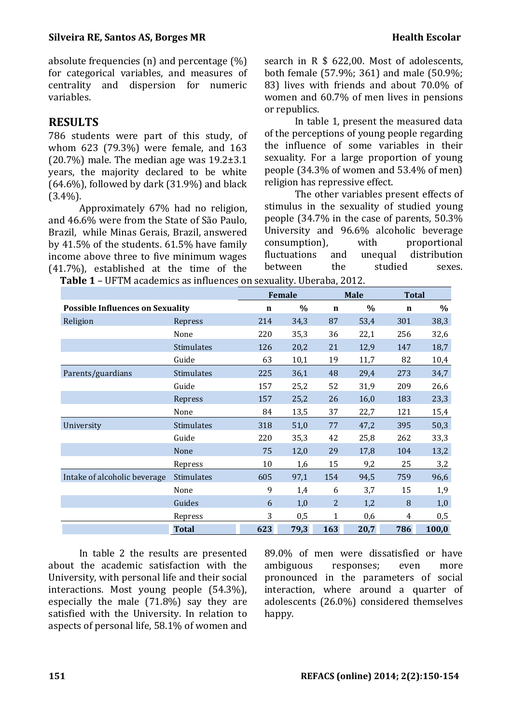absolute frequencies (n) and percentage (%) for categorical variables, and measures of centrality and dispersion for numeric variables.

## **RESULTS**

786 students were part of this study, of whom 623 (79.3%) were female, and 163  $(20.7%)$  male. The median age was  $19.2\pm3.1$ years, the majority declared to be white  $(64.6\%)$ , followed by dark  $(31.9\%)$  and black (3.4%).

Approximately 67% had no religion, and 46.6% were from the State of São Paulo, Brazil, while Minas Gerais, Brazil, answered by 41.5% of the students. 61.5% have family income above three to five minimum wages (41.7%), established at the time of the search in R \$ 622,00. Most of adolescents, both female (57.9%; 361) and male (50.9%; 83) lives with friends and about 70.0% of women and 60.7% of men lives in pensions or republics.

In table 1, present the measured data of the perceptions of young people regarding the influence of some variables in their sexuality. For a large proportion of young people (34.3% of women and 53.4% of men) religion has repressive effect.

The other variables present effects of stimulus in the sexuality of studied young people (34.7% in the case of parents, 50.3% University and 96.6% alcoholic beverage consumption), with proportional fluctuations and unequal distribution between the studied sexes.

 **Table 1** – UFTM academics as influences on sexuality. Uberaba, 2012.

|                                         |              | Female      |      |                | <b>Male</b> |     | <b>Total</b> |  |
|-----------------------------------------|--------------|-------------|------|----------------|-------------|-----|--------------|--|
| <b>Possible Influences on Sexuality</b> |              | $\mathbf n$ | $\%$ | $\mathbf n$    | $\%$        | n   | $\%$         |  |
| Religion                                | Repress      | 214         | 34,3 | 87             | 53,4        | 301 | 38,3         |  |
|                                         | None         | 220         | 35,3 | 36             | 22,1        | 256 | 32,6         |  |
|                                         | Stimulates   | 126         | 20,2 | 21             | 12,9        | 147 | 18,7         |  |
|                                         | Guide        | 63          | 10,1 | 19             | 11,7        | 82  | 10,4         |  |
| Parents/guardians                       | Stimulates   | 225         | 36,1 | 48             | 29,4        | 273 | 34,7         |  |
|                                         | Guide        | 157         | 25,2 | 52             | 31,9        | 209 | 26,6         |  |
|                                         | Repress      | 157         | 25,2 | 26             | 16,0        | 183 | 23,3         |  |
|                                         | None         | 84          | 13,5 | 37             | 22,7        | 121 | 15,4         |  |
| University                              | Stimulates   | 318         | 51,0 | 77             | 47,2        | 395 | 50,3         |  |
|                                         | Guide        | 220         | 35,3 | 42             | 25,8        | 262 | 33,3         |  |
|                                         | None         | 75          | 12,0 | 29             | 17,8        | 104 | 13,2         |  |
|                                         | Repress      | 10          | 1,6  | 15             | 9,2         | 25  | 3,2          |  |
| Intake of alcoholic beverage            | Stimulates   | 605         | 97,1 | 154            | 94,5        | 759 | 96,6         |  |
|                                         | None         | 9           | 1,4  | 6              | 3,7         | 15  | 1,9          |  |
|                                         | Guides       | 6           | 1,0  | $\overline{2}$ | 1,2         | 8   | 1,0          |  |
|                                         | Repress      | 3           | 0,5  | $\mathbf{1}$   | 0,6         | 4   | 0,5          |  |
|                                         | <b>Total</b> | 623         | 79,3 | 163            | 20,7        | 786 | 100,0        |  |

In table 2 the results are presented about the academic satisfaction with the University, with personal life and their social interactions. Most young people (54.3%), especially the male (71.8%) say they are satisfied with the University. In relation to aspects of personal life, 58.1% of women and

89.0% of men were dissatisfied or have ambiguous responses; even more pronounced in the parameters of social interaction, where around a quarter of adolescents (26.0%) considered themselves happy.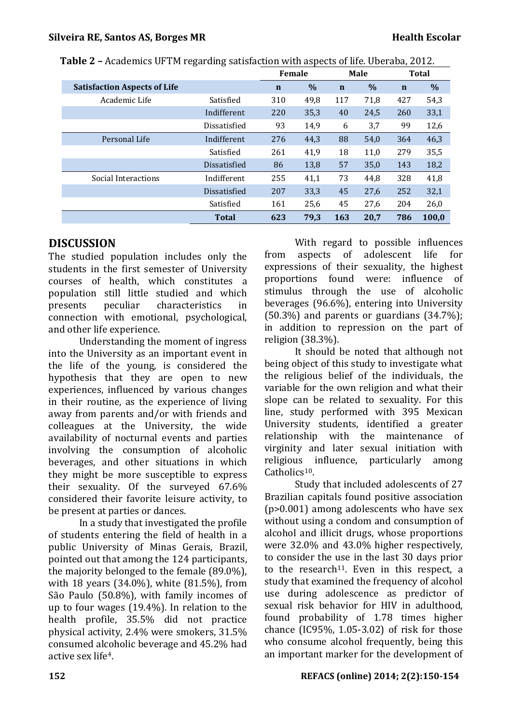|                                     |                     | <b>Female</b> |      | Male        |      | <b>Total</b> |       |
|-------------------------------------|---------------------|---------------|------|-------------|------|--------------|-------|
| <b>Satisfaction Aspects of Life</b> |                     | $\mathbf n$   | $\%$ | $\mathbf n$ | $\%$ | $\mathbf n$  | %     |
| Academic Life                       | Satisfied           | 310           | 49,8 | 117         | 71,8 | 427          | 54,3  |
|                                     | Indifferent         | 220           | 35,3 | 40          | 24,5 | 260          | 33,1  |
|                                     | Dissatisfied        | 93            | 14,9 | 6           | 3,7  | 99           | 12,6  |
| Personal Life                       | Indifferent         | 276           | 44,3 | 88          | 54,0 | 364          | 46,3  |
|                                     | Satisfied           | 261           | 41,9 | 18          | 11,0 | 279          | 35,5  |
|                                     | Dissatisfied        | 86            | 13,8 | 57          | 35,0 | 143          | 18,2  |
| Social Interactions                 | Indifferent         | 255           | 41,1 | 73          | 44,8 | 328          | 41,8  |
|                                     | <b>Dissatisfied</b> | 207           | 33,3 | 45          | 27,6 | 252          | 32,1  |
|                                     | Satisfied           | 161           | 25,6 | 45          | 27,6 | 204          | 26,0  |
|                                     | <b>Total</b>        | 623           | 79.3 | 163         | 20.7 | 786          | 100.0 |

 **Table 2 –** Academics UFTM regarding satisfaction with aspects of life. Uberaba, 2012.

## **DISCUSSION**

The studied population includes only the students in the first semester of University courses of health, which constitutes a population still little studied and which presents peculiar characteristics in connection with emotional, psychological, and other life experience.

Understanding the moment of ingress into the University as an important event in the life of the young, is considered the hypothesis that they are open to new experiences, influenced by various changes in their routine, as the experience of living away from parents and/or with friends and colleagues at the University, the wide availability of nocturnal events and parties involving the consumption of alcoholic beverages, and other situations in which they might be more susceptible to express their sexuality. Of the surveyed 67.6% considered their favorite leisure activity, to be present at parties or dances.

In a study that investigated the profile of students entering the field of health in a public University of Minas Gerais, Brazil, pointed out that among the 124 participants, the majority belonged to the female (89.0%), with 18 years (34.0%), white (81.5%), from São Paulo (50.8%), with family incomes of up to four wages (19.4%). In relation to the health profile, 35.5% did not practice physical activity, 2.4% were smokers, 31.5% consumed alcoholic beverage and 45.2% had active sex life4.

With regard to possible influences from aspects of adolescent life for expressions of their sexuality, the highest proportions found were: influence of stimulus through the use of alcoholic beverages (96.6%), entering into University (50.3%) and parents or guardians (34.7%); in addition to repression on the part of religion (38.3%).

It should be noted that although not being object of this study to investigate what the religious belief of the individuals, the variable for the own religion and what their slope can be related to sexuality. For this line, study performed with 395 Mexican University students, identified a greater relationship with the maintenance of virginity and later sexual initiation with religious influence, particularly among Catholics10.

Study that included adolescents of 27 Brazilian capitals found positive association (p>0.001) among adolescents who have sex without using a condom and consumption of alcohol and illicit drugs, whose proportions were 32.0% and 43.0% higher respectively, to consider the use in the last 30 days prior to the research<sup>11</sup>. Even in this respect, a study that examined the frequency of alcohol use during adolescence as predictor of sexual risk behavior for HIV in adulthood, found probability of 1.78 times higher chance (IC95%,  $1.05-3.02$ ) of risk for those who consume alcohol frequently, being this an important marker for the development of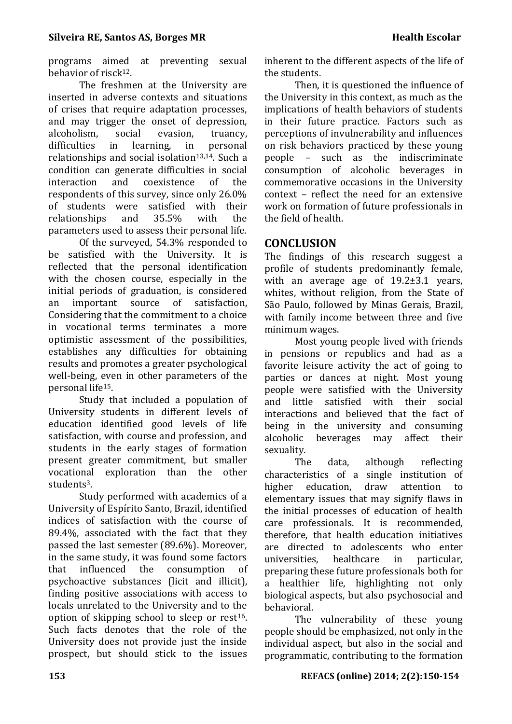programs aimed at preventing sexual behavior of risck12.

The freshmen at the University are inserted in adverse contexts and situations of crises that require adaptation processes, and may trigger the onset of depression, alcoholism, social evasion, truancy, difficulties in learning, in personal relationships and social isolation<sup>13,14</sup>. Such a condition can generate difficulties in social interaction and coexistence of the respondents of this survey, since only 26.0% of students were satisfied with their relationships and 35.5% with the parameters used to assess their personal life.

Of the surveyed, 54.3% responded to be satisfied with the University. It is reflected that the personal identification with the chosen course, especially in the initial periods of graduation, is considered an important source of satisfaction, Considering that the commitment to a choice in vocational terms terminates a more optimistic assessment of the possibilities, establishes any difficulties for obtaining results and promotes a greater psychological well-being, even in other parameters of the personal life15.

Study that included a population of University students in different levels of education identified good levels of life satisfaction, with course and profession, and students in the early stages of formation present greater commitment, but smaller vocational exploration than the other students3.

Study performed with academics of a University of Espírito Santo, Brazil, identified indices of satisfaction with the course of 89.4%, associated with the fact that they passed the last semester (89.6%). Moreover, in the same study, it was found some factors that influenced the consumption of psychoactive substances (licit and illicit), finding positive associations with access to locals unrelated to the University and to the option of skipping school to sleep or rest $16$ . Such facts denotes that the role of the University does not provide just the inside prospect, but should stick to the issues inherent to the different aspects of the life of the students.

Then, it is questioned the influence of the University in this context, as much as the implications of health behaviors of students in their future practice. Factors such as perceptions of invulnerability and influences on risk behaviors practiced by these young people – such as the indiscriminate consumption of alcoholic beverages in commemorative occasions in the University context – reflect the need for an extensive work on formation of future professionals in the field of health.

### **CONCLUSION**

The findings of this research suggest a profile of students predominantly female, with an average age of 19.2 $\pm$ 3.1 years, whites, without religion, from the State of São Paulo, followed by Minas Gerais, Brazil, with family income between three and five minimum wages.

Most young people lived with friends in pensions or republics and had as a favorite leisure activity the act of going to parties or dances at night. Most young people were satisfied with the University and little satisfied with their social interactions and believed that the fact of being in the university and consuming alcoholic beverages may affect their sexuality.

The data, although reflecting characteristics of a single institution of higher education, draw attention to elementary issues that may signify flaws in the initial processes of education of health care professionals. It is recommended, therefore, that health education initiatives are directed to adolescents who enter universities, healthcare in particular, preparing these future professionals both for a healthier life, highlighting not only biological aspects, but also psychosocial and behavioral.

The vulnerability of these young people should be emphasized, not only in the individual aspect, but also in the social and programmatic, contributing to the formation